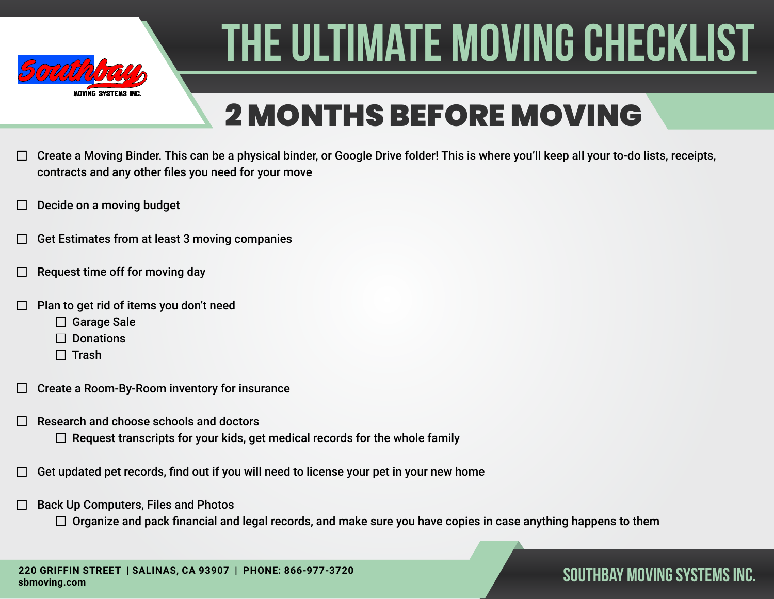

## 2 MONTHS BEFORE MOVING

- Create a Moving Binder. This can be a physical binder, or Google Drive folder! This is where you'll keep all your to-do lists, receipts,  $\Box$ contracts and any other files you need for your move
- Decide on a moving budget
- Get Estimates from at least 3 moving companies
- Request time off for moving day
- Plan to get rid of items you don't need
	- □ Garage Sale
	- $\Box$  Donations
	- $\Box$  Trash
- Create a Room-By-Room inventory for insurance  $\Box$
- Research and choose schools and doctors
	- $\Box$  Request transcripts for your kids, get medical records for the whole family
- Get updated pet records, find out if you will need to license your pet in your new home
- Back Up Computers, Files and Photos  $\Box$ 
	- $\Box$  Organize and pack financial and legal records, and make sure you have copies in case anything happens to them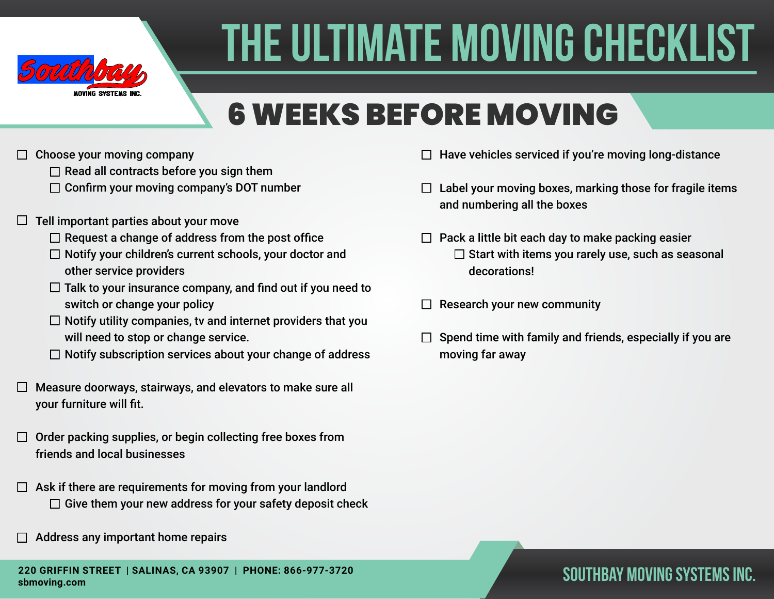

## 6 WEEKS BEFORE MOVING

- $\Box$  Choose your moving company
	- $\Box$  Read all contracts before you sign them
	- $\Box$  Confirm your moving company's DOT number
- $\Box$  Tell important parties about your move
	- $\Box$  Request a change of address from the post office
	- $\Box$  Notify your children's current schools, your doctor and other service providers
	- $\Box$  Talk to your insurance company, and find out if you need to switch or change your policy
	- $\Box$  Notify utility companies, tv and internet providers that you will need to stop or change service.
	- $\Box$  Notify subscription services about your change of address
- $\Box$  Measure doorways, stairways, and elevators to make sure all your furniture will fit.
- $\Box$  Order packing supplies, or begin collecting free boxes from friends and local businesses
- $\Box$  Ask if there are requirements for moving from your landlord  $\Box$  Give them your new address for your safety deposit check
- Address any important home repairs
- $\Box$  Have vehicles serviced if you're moving long-distance
- $\Box$  Label your moving boxes, marking those for fragile items and numbering all the boxes
- $\Box$  Pack a little bit each day to make packing easier  $\square$  Start with items you rarely use, such as seasonal decorations!
- Research your new community  $\Box$
- Spend time with family and friends, especially if you are moving far away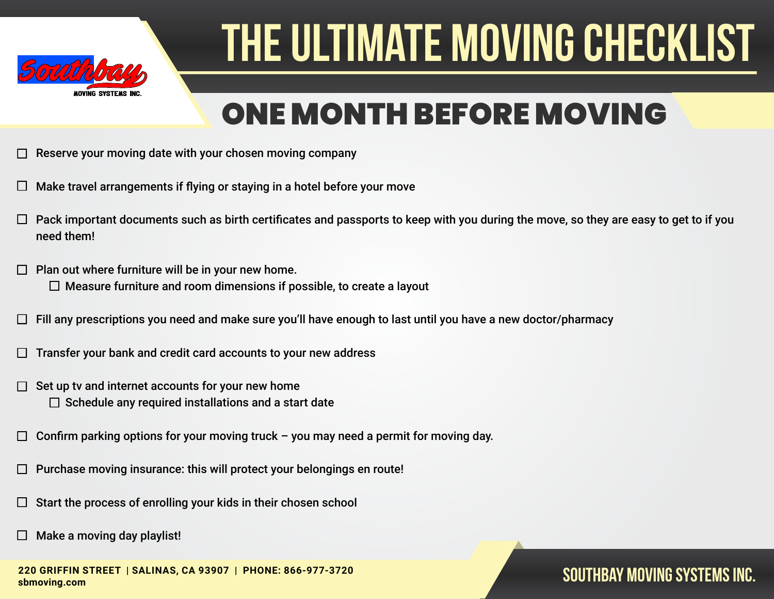

### ONE MONTH BEFORE MOVING

- Reserve your moving date with your chosen moving company
- Make travel arrangements if flying or staying in a hotel before your move
- Pack important documents such as birth certificates and passports to keep with you during the move, so they are easy to get to if you need them!
- Plan out where furniture will be in your new home.  $\Box$  $\Box$  Measure furniture and room dimensions if possible, to create a layout
- Fill any prescriptions you need and make sure you'll have enough to last until you have a new doctor/pharmacy
- Transfer your bank and credit card accounts to your new address
- Set up tv and internet accounts for your new home П  $\Box$  Schedule any required installations and a start date
- Confirm parking options for your moving truck you may need a permit for moving day. П
- Purchase moving insurance: this will protect your belongings en route!
- Start the process of enrolling your kids in their chosen school
- Make a moving day playlist!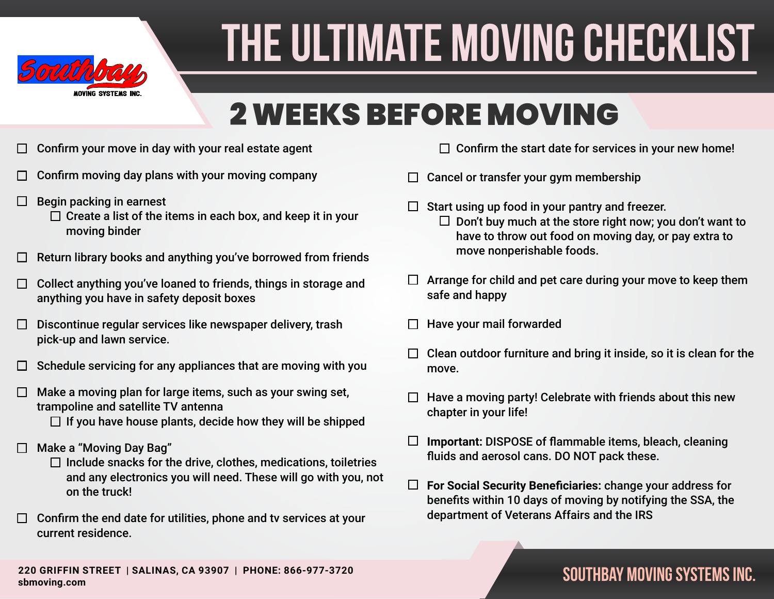

### 2 WEEKS BEFORE MOVING

- Confirm your move in day with your real estate agent  $\Box$
- Confirm moving day plans with your moving company
- Begin packing in earnest  $\Box$ 
	- $\Box$  Create a list of the items in each box, and keep it in your moving binder
- Return library books and anything you've borrowed from friends
- Collect anything you've loaned to friends, things in storage and  $\Box$ anything you have in safety deposit boxes
- Discontinue regular services like newspaper delivery, trash  $\Box$ pick-up and lawn service.
- Schedule servicing for any appliances that are moving with you П
- Make a moving plan for large items, such as your swing set,  $\Box$ trampoline and satellite TV antenna
	- $\Box$  If you have house plants, decide how they will be shipped
- Make a "Moving Day Bag"
	- $\Box$  Include snacks for the drive, clothes, medications, toiletries and any electronics you will need. These will go with you, not on the truck!
- $\Box$  Confirm the end date for utilities, phone and tv services at your current residence.
- $\Box$  Confirm the start date for services in your new home!
- Cancel or transfer your gym membership  $\Box$
- Start using up food in your pantry and freezer.  $\Box$  Don't buy much at the store right now; you don't want to have to throw out food on moving day, or pay extra to move nonperishable foods.
- $\Box$  Arrange for child and pet care during your move to keep them safe and happy
- Have your mail forwarded
- Clean outdoor furniture and bring it inside, so it is clean for the move.
- Have a moving party! Celebrate with friends about this new chapter in your life!
- $\Box$ **Important:** DISPOSE of flammable items, bleach, cleaning fluids and aerosol cans. DO NOT pack these.
- $\Box$ **For Social Security Beneficiaries:** change your address for benefits within 10 days of moving by notifying the SSA, the department of Veterans Affairs and the IRS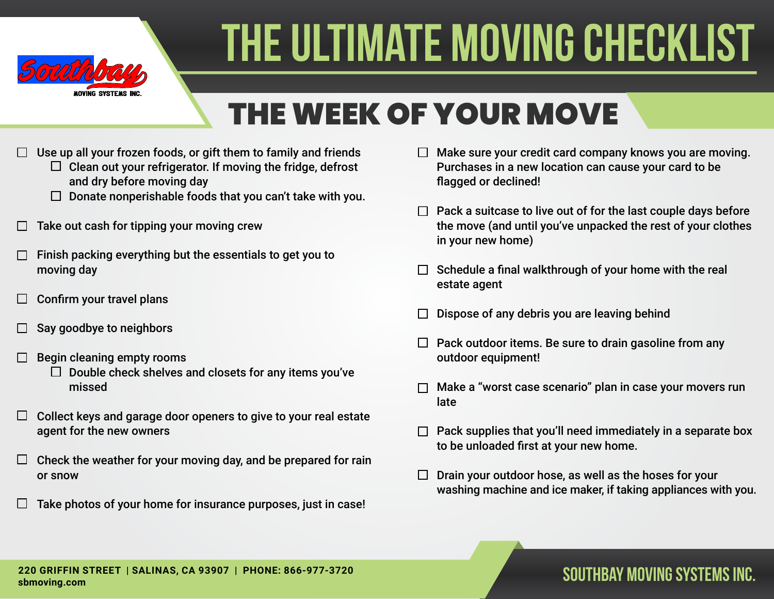

## THE WEEK OF YOUR MOVE

- Use up all your frozen foods, or gift them to family and friends
	- $\Box$  Clean out your refrigerator. If moving the fridge, defrost and dry before moving day
	- $\Box$  Donate nonperishable foods that you can't take with you.
- Take out cash for tipping your moving crew
- Finish packing everything but the essentials to get you to moving day
- Confirm your travel plans  $\Box$
- Say goodbye to neighbors
- Begin cleaning empty rooms
	- $\Box$  Double check shelves and closets for any items you've missed
- Collect keys and garage door openers to give to your real estate  $\Box$ agent for the new owners
- Check the weather for your moving day, and be prepared for rain  $\Box$ or snow
- Take photos of your home for insurance purposes, just in case!  $\mathbf{L}$
- $\Box$  Make sure your credit card company knows you are moving. Purchases in a new location can cause your card to be flagged or declined!
- $\Box$  Pack a suitcase to live out of for the last couple days before the move (and until you've unpacked the rest of your clothes in your new home)
- $\Box$  Schedule a final walkthrough of your home with the real estate agent
- Dispose of any debris you are leaving behind
- $\Box$  Pack outdoor items. Be sure to drain gasoline from any outdoor equipment!
- Make a "worst case scenario" plan in case your movers run late
- Pack supplies that you'll need immediately in a separate box to be unloaded first at your new home.
- $\Box$  Drain your outdoor hose, as well as the hoses for your washing machine and ice maker, if taking appliances with you.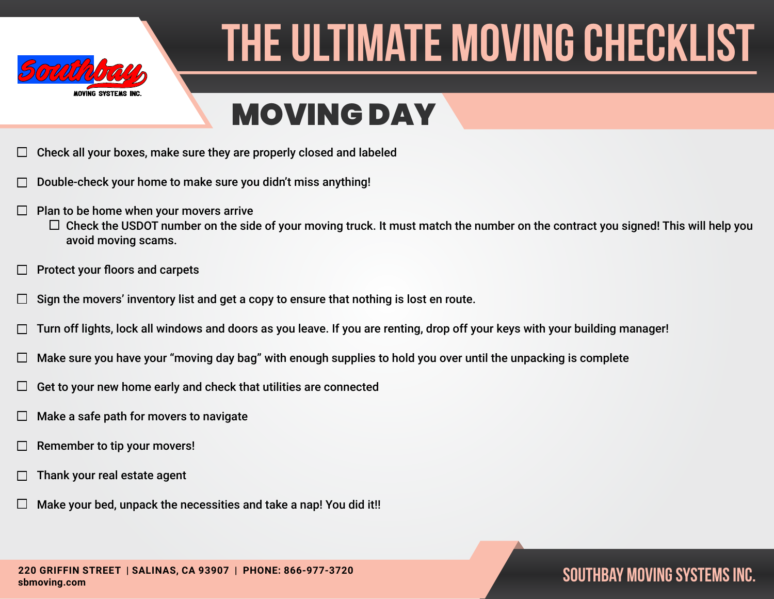

### MOVING DAY

- Check all your boxes, make sure they are properly closed and labeled
- Double-check your home to make sure you didn't miss anything!
- $\Box$ Plan to be home when your movers arrive
	- $\Box$  Check the USDOT number on the side of your moving truck. It must match the number on the contract you signed! This will help you avoid moving scams.
- Protect your floors and carpets  $\Box$
- Sign the movers' inventory list and get a copy to ensure that nothing is lost en route.  $\Box$
- Turn off lights, lock all windows and doors as you leave. If you are renting, drop off your keys with your building manager!
- Make sure you have your "moving day bag" with enough supplies to hold you over until the unpacking is complete  $\Box$
- Get to your new home early and check that utilities are connected ⊔
- Make a safe path for movers to navigate Ш
- Remember to tip your movers!
- Thank your real estate agent
- Make your bed, unpack the necessities and take a nap! You did it!!